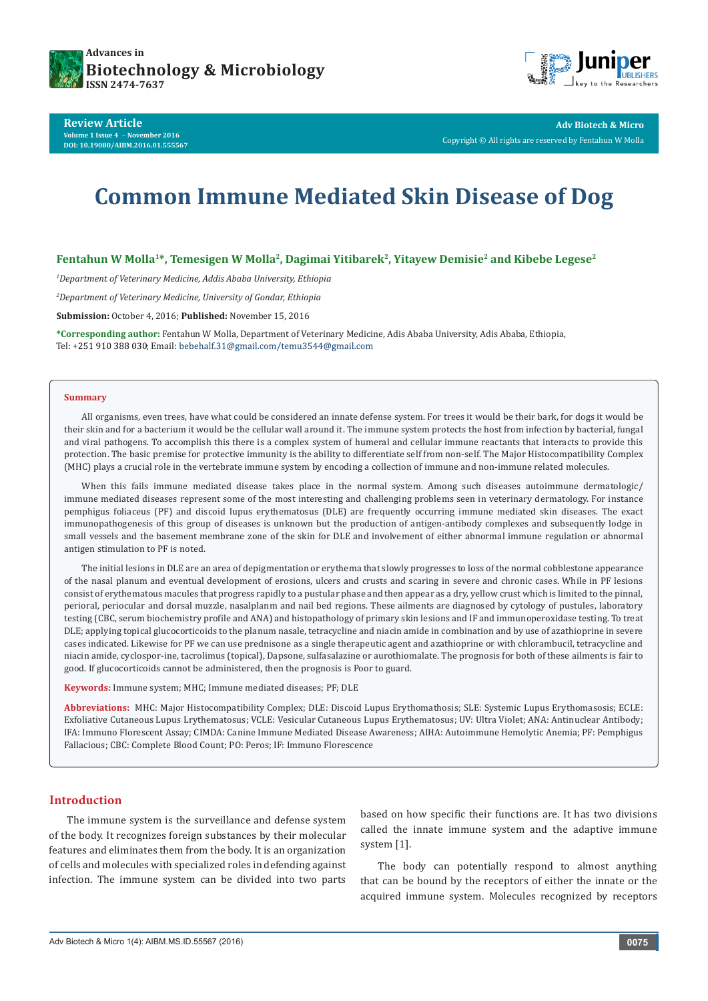



**Review Article Volume 1 Issue 4** - **November 2016 DOI: [10.19080/AIBM.2016.01.555567](http://dx.doi.org/10.19080/AIBM.2016.01.555567
)**

**Adv Biotech & Micro** Copyright © All rights are reserved by Fentahun W Molla

# **Common Immune Mediated Skin Disease of Dog**

# **Fentahun W Molla<sup>1\*</sup>, Temesigen W Molla<sup>2</sup>, Dagimai Yitibarek<sup>2</sup>, Yitayew Demisie<sup>2</sup> and Kibebe Legese<sup>2</sup>**

*1 Department of Veterinary Medicine, Addis Ababa University, Ethiopia*

*2 Department of Veterinary Medicine, University of Gondar, Ethiopia*

**Submission:** October 4, 2016; **Published:** November 15, 2016

**\*Corresponding author:** Fentahun W Molla, Department of Veterinary Medicine, Adis Ababa University, Adis Ababa, Ethiopia, Tel: +251 910 388 030; Email: bebehalf.31@gmail.com/temu3544@gmail.com

#### **Summary**

All organisms, even trees, have what could be considered an innate defense system. For trees it would be their bark, for dogs it would be their skin and for a bacterium it would be the cellular wall around it. The immune system protects the host from infection by bacterial, fungal and viral pathogens. To accomplish this there is a complex system of humeral and cellular immune reactants that interacts to provide this protection. The basic premise for protective immunity is the ability to differentiate self from non-self. The Major Histocompatibility Complex (MHC) plays a crucial role in the vertebrate immune system by encoding a collection of immune and non-immune related molecules.

When this fails immune mediated disease takes place in the normal system. Among such diseases autoimmune dermatologic/ immune mediated diseases represent some of the most interesting and challenging problems seen in veterinary dermatology. For instance pemphigus foliaceus (PF) and discoid lupus erythematosus (DLE) are frequently occurring immune mediated skin diseases. The exact immunopathogenesis of this group of diseases is unknown but the production of antigen-antibody complexes and subsequently lodge in small vessels and the basement membrane zone of the skin for DLE and involvement of either abnormal immune regulation or abnormal antigen stimulation to PF is noted.

The initial lesions in DLE are an area of depigmentation or erythema that slowly progresses to loss of the normal cobblestone appearance of the nasal planum and eventual development of erosions, ulcers and crusts and scaring in severe and chronic cases. While in PF lesions consist of erythematous macules that progress rapidly to a pustular phase and then appear as a dry, yellow crust which is limited to the pinnal, perioral, periocular and dorsal muzzle, nasalplanm and nail bed regions. These ailments are diagnosed by cytology of pustules, laboratory testing (CBC, serum biochemistry profile and ANA) and histopathology of primary skin lesions and IF and immunoperoxidase testing. To treat DLE; applying topical glucocorticoids to the planum nasale, tetracycline and niacin amide in combination and by use of azathioprine in severe cases indicated. Likewise for PF we can use prednisone as a single therapeutic agent and azathioprine or with chlorambucil, tetracycline and niacin amide, cyclospor-ine, tacrolimus (topical), Dapsone, sulfasalazine or aurothiomalate. The prognosis for both of these ailments is fair to good. If glucocorticoids cannot be administered, then the prognosis is Poor to guard.

**Keywords:** Immune system; MHC; Immune mediated diseases; PF; DLE

**Abbreviations:** MHC: Major Histocompatibility Complex; DLE: Discoid Lupus Erythomathosis; SLE: Systemic Lupus Erythomasosis; ECLE: Exfoliative Cutaneous Lupus Lrythematosus; VCLE: Vesicular Cutaneous Lupus Erythematosus; UV: Ultra Violet; ANA: Antinuclear Antibody; IFA: Immuno Florescent Assay; CIMDA: Canine Immune Mediated Disease Awareness; AIHA: Autoimmune Hemolytic Anemia; PF: Pemphigus Fallacious; CBC: Complete Blood Count; PO: Peros; IF: Immuno Florescence

# **Introduction**

The immune system is the surveillance and defense system of the body. It recognizes foreign substances by their molecular features and eliminates them from the body. It is an organization of cells and molecules with specialized roles in defending against infection. The immune system can be divided into two parts

based on how specific their functions are. It has two divisions called the innate immune system and the adaptive immune system [1].

The body can potentially respond to almost anything that can be bound by the receptors of either the innate or the acquired immune system. Molecules recognized by receptors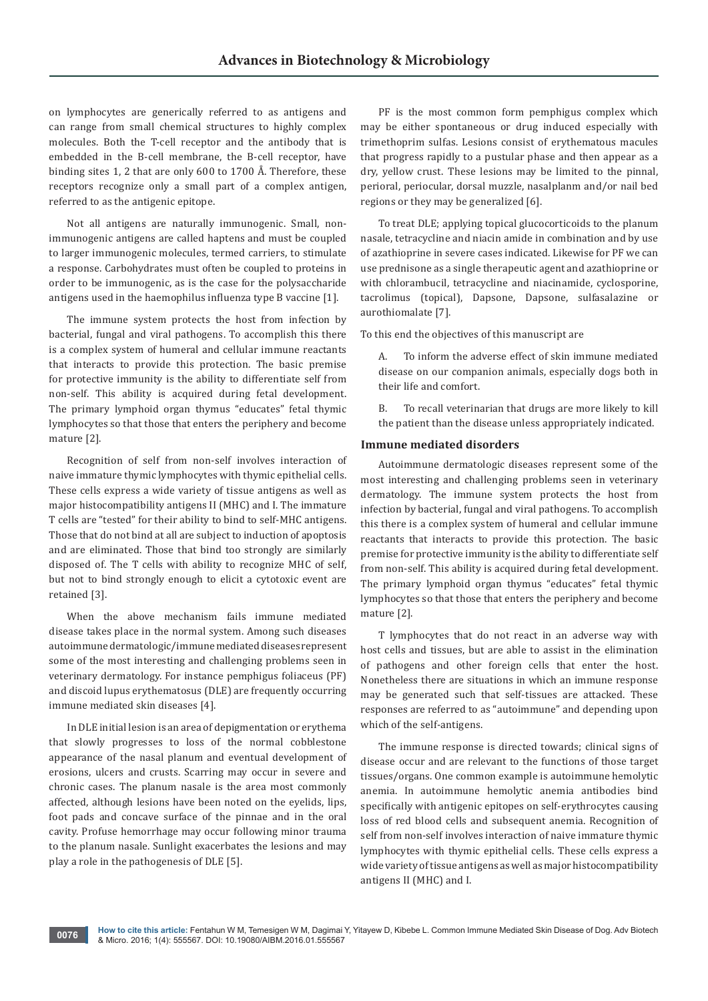on lymphocytes are generically referred to as antigens and can range from small chemical structures to highly complex molecules. Both the T-cell receptor and the antibody that is embedded in the B-cell membrane, the B-cell receptor, have binding sites 1, 2 that are only 600 to 1700 Å. Therefore, these receptors recognize only a small part of a complex antigen, referred to as the antigenic epitope.

Not all antigens are naturally immunogenic. Small, nonimmunogenic antigens are called haptens and must be coupled to larger immunogenic molecules, termed carriers, to stimulate a response. Carbohydrates must often be coupled to proteins in order to be immunogenic, as is the case for the polysaccharide antigens used in the haemophilus influenza type B vaccine [1].

The immune system protects the host from infection by bacterial, fungal and viral pathogens. To accomplish this there is a complex system of humeral and cellular immune reactants that interacts to provide this protection. The basic premise for protective immunity is the ability to differentiate self from non-self. This ability is acquired during fetal development. The primary lymphoid organ thymus "educates" fetal thymic lymphocytes so that those that enters the periphery and become mature [2].

Recognition of self from non-self involves interaction of naive immature thymic lymphocytes with thymic epithelial cells. These cells express a wide variety of tissue antigens as well as major histocompatibility antigens II (MHC) and I. The immature T cells are "tested" for their ability to bind to self-MHC antigens. Those that do not bind at all are subject to induction of apoptosis and are eliminated. Those that bind too strongly are similarly disposed of. The T cells with ability to recognize MHC of self, but not to bind strongly enough to elicit a cytotoxic event are retained [3].

When the above mechanism fails immune mediated disease takes place in the normal system. Among such diseases autoimmune dermatologic/immune mediated diseases represent some of the most interesting and challenging problems seen in veterinary dermatology. For instance pemphigus foliaceus (PF) and discoid lupus erythematosus (DLE) are frequently occurring immune mediated skin diseases [4].

In DLE initial lesion is an area of depigmentation or erythema that slowly progresses to loss of the normal cobblestone appearance of the nasal planum and eventual development of erosions, ulcers and crusts. Scarring may occur in severe and chronic cases. The planum nasale is the area most commonly affected, although lesions have been noted on the eyelids, lips, foot pads and concave surface of the pinnae and in the oral cavity. Profuse hemorrhage may occur following minor trauma to the planum nasale. Sunlight exacerbates the lesions and may play a role in the pathogenesis of DLE [5].

PF is the most common form pemphigus complex which may be either spontaneous or drug induced especially with trimethoprim sulfas. Lesions consist of erythematous macules that progress rapidly to a pustular phase and then appear as a dry, yellow crust. These lesions may be limited to the pinnal, perioral, periocular, dorsal muzzle, nasalplanm and/or nail bed regions or they may be generalized [6].

To treat DLE; applying topical glucocorticoids to the planum nasale, tetracycline and niacin amide in combination and by use of azathioprine in severe cases indicated. Likewise for PF we can use prednisone as a single therapeutic agent and azathioprine or with chlorambucil, tetracycline and niacinamide, cyclosporine, tacrolimus (topical), Dapsone, Dapsone, sulfasalazine or aurothiomalate [7].

To this end the objectives of this manuscript are

A. To inform the adverse effect of skin immune mediated disease on our companion animals, especially dogs both in their life and comfort.

B. To recall veterinarian that drugs are more likely to kill the patient than the disease unless appropriately indicated.

## **Immune mediated disorders**

Autoimmune dermatologic diseases represent some of the most interesting and challenging problems seen in veterinary dermatology. The immune system protects the host from infection by bacterial, fungal and viral pathogens. To accomplish this there is a complex system of humeral and cellular immune reactants that interacts to provide this protection. The basic premise for protective immunity is the ability to differentiate self from non-self. This ability is acquired during fetal development. The primary lymphoid organ thymus "educates" fetal thymic lymphocytes so that those that enters the periphery and become mature [2].

T lymphocytes that do not react in an adverse way with host cells and tissues, but are able to assist in the elimination of pathogens and other foreign cells that enter the host. Nonetheless there are situations in which an immune response may be generated such that self-tissues are attacked. These responses are referred to as "autoimmune" and depending upon which of the self-antigens.

The immune response is directed towards; clinical signs of disease occur and are relevant to the functions of those target tissues/organs. One common example is autoimmune hemolytic anemia. In autoimmune hemolytic anemia antibodies bind specifically with antigenic epitopes on self-erythrocytes causing loss of red blood cells and subsequent anemia. Recognition of self from non-self involves interaction of naive immature thymic lymphocytes with thymic epithelial cells. These cells express a wide variety of tissue antigens as well as major histocompatibility antigens II (MHC) and I.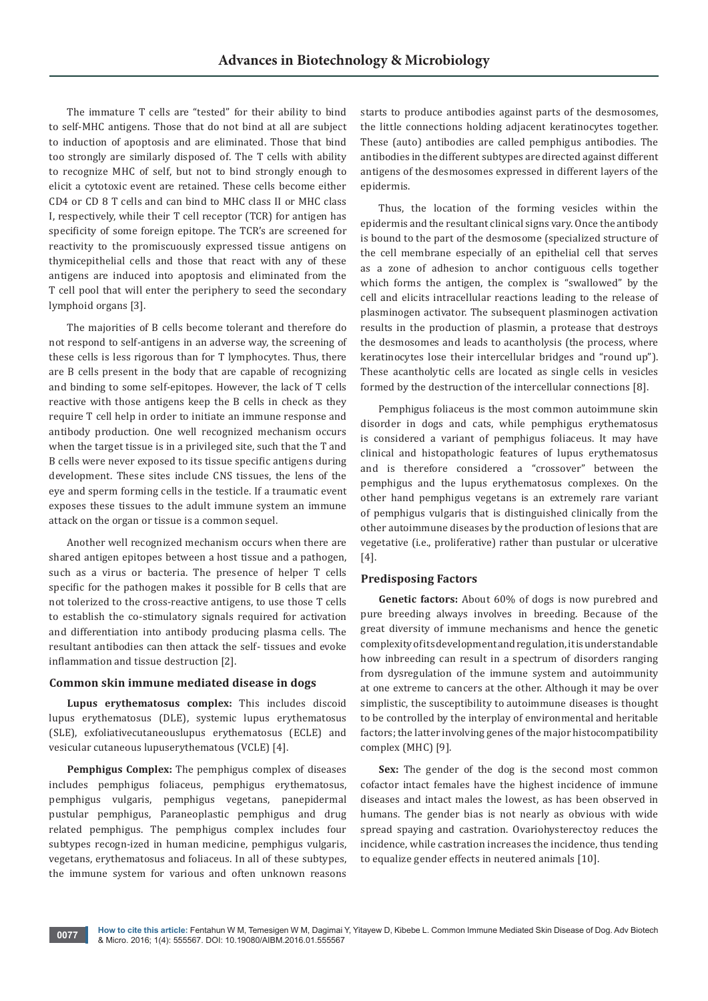The immature T cells are "tested" for their ability to bind to self-MHC antigens. Those that do not bind at all are subject to induction of apoptosis and are eliminated. Those that bind too strongly are similarly disposed of. The T cells with ability to recognize MHC of self, but not to bind strongly enough to elicit a cytotoxic event are retained. These cells become either CD4 or CD 8 T cells and can bind to MHC class II or MHC class I, respectively, while their T cell receptor (TCR) for antigen has specificity of some foreign epitope. The TCR's are screened for reactivity to the promiscuously expressed tissue antigens on thymicepithelial cells and those that react with any of these antigens are induced into apoptosis and eliminated from the T cell pool that will enter the periphery to seed the secondary lymphoid organs [3].

The majorities of B cells become tolerant and therefore do not respond to self-antigens in an adverse way, the screening of these cells is less rigorous than for T lymphocytes. Thus, there are B cells present in the body that are capable of recognizing and binding to some self-epitopes. However, the lack of T cells reactive with those antigens keep the B cells in check as they require T cell help in order to initiate an immune response and antibody production. One well recognized mechanism occurs when the target tissue is in a privileged site, such that the T and B cells were never exposed to its tissue specific antigens during development. These sites include CNS tissues, the lens of the eye and sperm forming cells in the testicle. If a traumatic event exposes these tissues to the adult immune system an immune attack on the organ or tissue is a common sequel.

Another well recognized mechanism occurs when there are shared antigen epitopes between a host tissue and a pathogen, such as a virus or bacteria. The presence of helper T cells specific for the pathogen makes it possible for B cells that are not tolerized to the cross-reactive antigens, to use those T cells to establish the co-stimulatory signals required for activation and differentiation into antibody producing plasma cells. The resultant antibodies can then attack the self- tissues and evoke inflammation and tissue destruction [2].

## **Common skin immune mediated disease in dogs**

**Lupus erythematosus complex:** This includes discoid lupus erythematosus (DLE), systemic lupus erythematosus (SLE), exfoliativecutaneouslupus erythematosus (ECLE) and vesicular cutaneous lupuserythematous (VCLE) [4].

**Pemphigus Complex:** The pemphigus complex of diseases includes pemphigus foliaceus, pemphigus erythematosus, pemphigus vulgaris, pemphigus vegetans, panepidermal pustular pemphigus, Paraneoplastic pemphigus and drug related pemphigus. The pemphigus complex includes four subtypes recogn-ized in human medicine, pemphigus vulgaris, vegetans, erythematosus and foliaceus. In all of these subtypes, the immune system for various and often unknown reasons

starts to produce antibodies against parts of the desmosomes, the little connections holding adjacent keratinocytes together. These (auto) antibodies are called pemphigus antibodies. The antibodies in the different subtypes are directed against different antigens of the desmosomes expressed in different layers of the epidermis.

Thus, the location of the forming vesicles within the epidermis and the resultant clinical signs vary. Once the antibody is bound to the part of the desmosome (specialized structure of the cell membrane especially of an epithelial cell that serves as a zone of adhesion to anchor contiguous cells together which forms the antigen, the complex is "swallowed" by the cell and elicits intracellular reactions leading to the release of plasminogen activator. The subsequent plasminogen activation results in the production of plasmin, a protease that destroys the desmosomes and leads to acantholysis (the process, where keratinocytes lose their intercellular bridges and "round up"). These acantholytic cells are located as single cells in vesicles formed by the destruction of the intercellular connections [8].

Pemphigus foliaceus is the most common autoimmune skin disorder in dogs and cats, while pemphigus erythematosus is considered a variant of pemphigus foliaceus. It may have clinical and histopathologic features of lupus erythematosus and is therefore considered a "crossover" between the pemphigus and the lupus erythematosus complexes. On the other hand pemphigus vegetans is an extremely rare variant of pemphigus vulgaris that is distinguished clinically from the other autoimmune diseases by the production of lesions that are vegetative (i.e., proliferative) rather than pustular or ulcerative [4].

## **Predisposing Factors**

**Genetic factors:** About 60% of dogs is now purebred and pure breeding always involves in breeding. Because of the great diversity of immune mechanisms and hence the genetic complexity of its development and regulation, it is understandable how inbreeding can result in a spectrum of disorders ranging from dysregulation of the immune system and autoimmunity at one extreme to cancers at the other. Although it may be over simplistic, the susceptibility to autoimmune diseases is thought to be controlled by the interplay of environmental and heritable factors; the latter involving genes of the major histocompatibility complex (MHC) [9].

Sex: The gender of the dog is the second most common cofactor intact females have the highest incidence of immune diseases and intact males the lowest, as has been observed in humans. The gender bias is not nearly as obvious with wide spread spaying and castration. Ovariohysterectoy reduces the incidence, while castration increases the incidence, thus tending to equalize gender effects in neutered animals [10].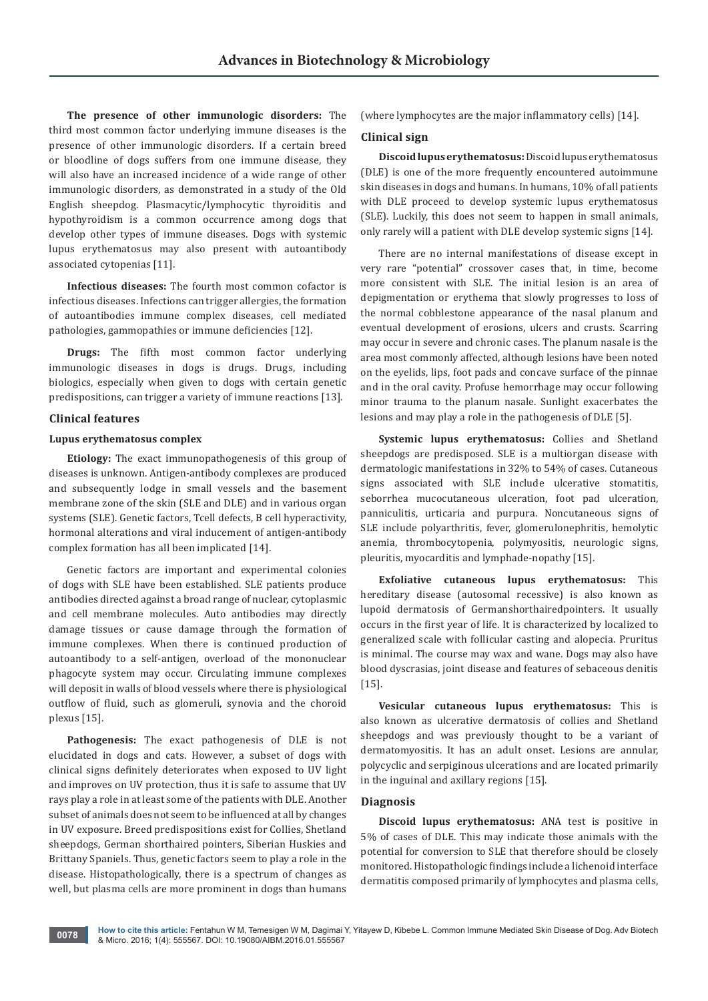**The presence of other immunologic disorders:** The third most common factor underlying immune diseases is the presence of other immunologic disorders. If a certain breed or bloodline of dogs suffers from one immune disease, they will also have an increased incidence of a wide range of other immunologic disorders, as demonstrated in a study of the Old English sheepdog. Plasmacytic/lymphocytic thyroiditis and hypothyroidism is a common occurrence among dogs that develop other types of immune diseases. Dogs with systemic lupus erythematosus may also present with autoantibody associated cytopenias [11].

**Infectious diseases:** The fourth most common cofactor is infectious diseases. Infections can trigger allergies, the formation of autoantibodies immune complex diseases, cell mediated pathologies, gammopathies or immune deficiencies [12].

**Drugs:** The fifth most common factor underlying immunologic diseases in dogs is drugs. Drugs, including biologics, especially when given to dogs with certain genetic predispositions, can trigger a variety of immune reactions [13].

#### **Clinical features**

# **Lupus erythematosus complex**

**Etiology:** The exact immunopathogenesis of this group of diseases is unknown. Antigen-antibody complexes are produced and subsequently lodge in small vessels and the basement membrane zone of the skin (SLE and DLE) and in various organ systems (SLE). Genetic factors, Tcell defects, B cell hyperactivity, hormonal alterations and viral inducement of antigen-antibody complex formation has all been implicated [14].

Genetic factors are important and experimental colonies of dogs with SLE have been established. SLE patients produce antibodies directed against a broad range of nuclear, cytoplasmic and cell membrane molecules. Auto antibodies may directly damage tissues or cause damage through the formation of immune complexes. When there is continued production of autoantibody to a self-antigen, overload of the mononuclear phagocyte system may occur. Circulating immune complexes will deposit in walls of blood vessels where there is physiological outflow of fluid, such as glomeruli, synovia and the choroid plexus [15].

**Pathogenesis:** The exact pathogenesis of DLE is not elucidated in dogs and cats. However, a subset of dogs with clinical signs definitely deteriorates when exposed to UV light and improves on UV protection, thus it is safe to assume that UV rays play a role in at least some of the patients with DLE. Another subset of animals does not seem to be influenced at all by changes in UV exposure. Breed predispositions exist for Collies, Shetland sheepdogs, German shorthaired pointers, Siberian Huskies and Brittany Spaniels. Thus, genetic factors seem to play a role in the disease. Histopathologically, there is a spectrum of changes as well, but plasma cells are more prominent in dogs than humans

(where lymphocytes are the major inflammatory cells) [14].

## **Clinical sign**

**Discoid lupus erythematosus:** Discoid lupus erythematosus (DLE) is one of the more frequently encountered autoimmune skin diseases in dogs and humans. In humans, 10% of all patients with DLE proceed to develop systemic lupus erythematosus (SLE). Luckily, this does not seem to happen in small animals, only rarely will a patient with DLE develop systemic signs [14].

There are no internal manifestations of disease except in very rare "potential" crossover cases that, in time, become more consistent with SLE. The initial lesion is an area of depigmentation or erythema that slowly progresses to loss of the normal cobblestone appearance of the nasal planum and eventual development of erosions, ulcers and crusts. Scarring may occur in severe and chronic cases. The planum nasale is the area most commonly affected, although lesions have been noted on the eyelids, lips, foot pads and concave surface of the pinnae and in the oral cavity. Profuse hemorrhage may occur following minor trauma to the planum nasale. Sunlight exacerbates the lesions and may play a role in the pathogenesis of DLE [5].

**Systemic lupus erythematosus:** Collies and Shetland sheepdogs are predisposed. SLE is a multiorgan disease with dermatologic manifestations in 32% to 54% of cases. Cutaneous signs associated with SLE include ulcerative stomatitis, seborrhea mucocutaneous ulceration, foot pad ulceration, panniculitis, urticaria and purpura. Noncutaneous signs of SLE include polyarthritis, fever, glomerulonephritis, hemolytic anemia, thrombocytopenia, polymyositis, neurologic signs, pleuritis, myocarditis and lymphade-nopathy [15].

**Exfoliative cutaneous lupus erythematosus:** This hereditary disease (autosomal recessive) is also known as lupoid dermatosis of Germanshorthairedpointers. It usually occurs in the first year of life. It is characterized by localized to generalized scale with follicular casting and alopecia. Pruritus is minimal. The course may wax and wane. Dogs may also have blood dyscrasias, joint disease and features of sebaceous denitis [15].

**Vesicular cutaneous lupus erythematosus:** This is also known as ulcerative dermatosis of collies and Shetland sheepdogs and was previously thought to be a variant of dermatomyositis. It has an adult onset. Lesions are annular, polycyclic and serpiginous ulcerations and are located primarily in the inguinal and axillary regions [15].

## **Diagnosis**

**Discoid lupus erythematosus:** ANA test is positive in 5% of cases of DLE. This may indicate those animals with the potential for conversion to SLE that therefore should be closely monitored. Histopathologic findings include a lichenoid interface dermatitis composed primarily of lymphocytes and plasma cells,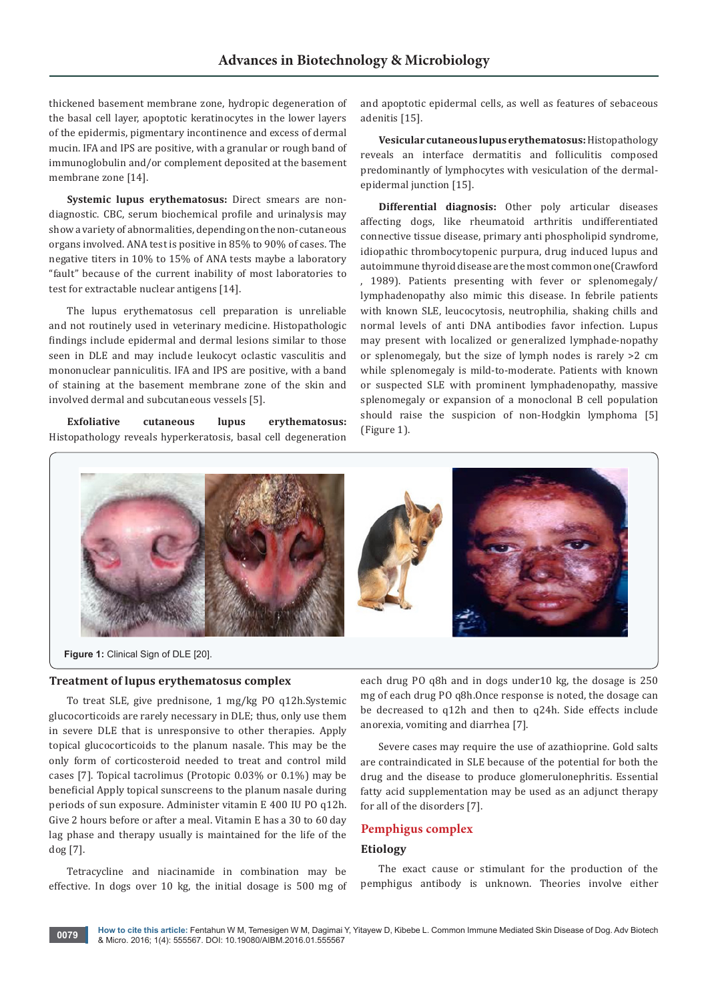thickened basement membrane zone, hydropic degeneration of the basal cell layer, apoptotic keratinocytes in the lower layers of the epidermis, pigmentary incontinence and excess of dermal mucin. IFA and IPS are positive, with a granular or rough band of immunoglobulin and/or complement deposited at the basement membrane zone [14].

**Systemic lupus erythematosus:** Direct smears are nondiagnostic. CBC, serum biochemical profile and urinalysis may show a variety of abnormalities, depending on the non-cutaneous organs involved. ANA test is positive in 85% to 90% of cases. The negative titers in 10% to 15% of ANA tests maybe a laboratory "fault" because of the current inability of most laboratories to test for extractable nuclear antigens [14].

The lupus erythematosus cell preparation is unreliable and not routinely used in veterinary medicine. Histopathologic findings include epidermal and dermal lesions similar to those seen in DLE and may include leukocyt oclastic vasculitis and mononuclear panniculitis. IFA and IPS are positive, with a band of staining at the basement membrane zone of the skin and involved dermal and subcutaneous vessels [5].

**Exfoliative cutaneous lupus erythematosus:**  Histopathology reveals hyperkeratosis, basal cell degeneration and apoptotic epidermal cells, as well as features of sebaceous adenitis [15].

**Vesicular cutaneous lupus erythematosus:** Histopathology reveals an interface dermatitis and folliculitis composed predominantly of lymphocytes with vesiculation of the dermalepidermal junction [15].

**Differential diagnosis:** Other poly articular diseases affecting dogs, like rheumatoid arthritis undifferentiated connective tissue disease, primary anti phospholipid syndrome, idiopathic thrombocytopenic purpura, drug induced lupus and autoimmune thyroid disease are the most common one(Crawford , 1989). Patients presenting with fever or splenomegaly/ lymphadenopathy also mimic this disease. In febrile patients with known SLE, leucocytosis, neutrophilia, shaking chills and normal levels of anti DNA antibodies favor infection. Lupus may present with localized or generalized lymphade-nopathy or splenomegaly, but the size of lymph nodes is rarely >2 cm while splenomegaly is mild-to-moderate. Patients with known or suspected SLE with prominent lymphadenopathy, massive splenomegaly or expansion of a monoclonal B cell population should raise the suspicion of non-Hodgkin lymphoma [5] (Figure 1).



**Figure 1:** Clinical Sign of DLE [20].

## **Treatment of lupus erythematosus complex**

To treat SLE, give prednisone, 1 mg/kg PO q12h.Systemic glucocorticoids are rarely necessary in DLE; thus, only use them in severe DLE that is unresponsive to other therapies. Apply topical glucocorticoids to the planum nasale. This may be the only form of corticosteroid needed to treat and control mild cases [7]. Topical tacrolimus (Protopic 0.03% or 0.1%) may be beneficial Apply topical sunscreens to the planum nasale during periods of sun exposure. Administer vitamin E 400 IU PO q12h. Give 2 hours before or after a meal. Vitamin E has a 30 to 60 day lag phase and therapy usually is maintained for the life of the dog [7].

Tetracycline and niacinamide in combination may be effective. In dogs over 10 kg, the initial dosage is 500 mg of each drug PO q8h and in dogs under10 kg, the dosage is 250 mg of each drug PO q8h.Once response is noted, the dosage can be decreased to q12h and then to q24h. Side effects include anorexia, vomiting and diarrhea [7].

Severe cases may require the use of azathioprine. Gold salts are contraindicated in SLE because of the potential for both the drug and the disease to produce glomerulonephritis. Essential fatty acid supplementation may be used as an adjunct therapy for all of the disorders [7].

# **Pemphigus complex**

# **Etiology**

The exact cause or stimulant for the production of the pemphigus antibody is unknown. Theories involve either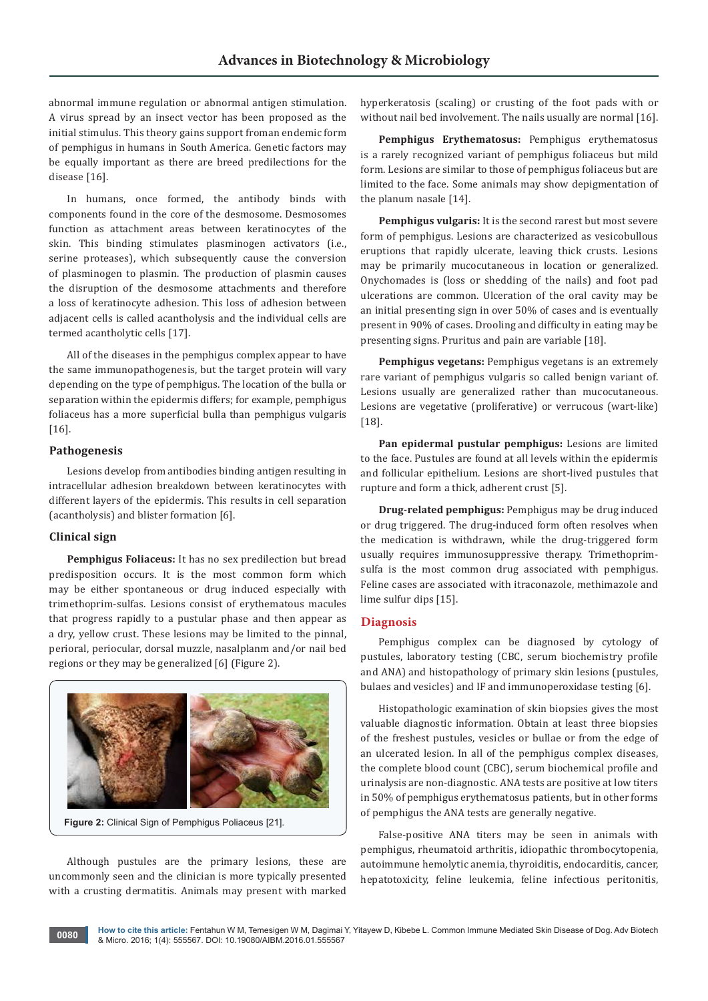abnormal immune regulation or abnormal antigen stimulation. A virus spread by an insect vector has been proposed as the initial stimulus. This theory gains support froman endemic form of pemphigus in humans in South America. Genetic factors may be equally important as there are breed predilections for the disease [16].

In humans, once formed, the antibody binds with components found in the core of the desmosome. Desmosomes function as attachment areas between keratinocytes of the skin. This binding stimulates plasminogen activators (i.e., serine proteases), which subsequently cause the conversion of plasminogen to plasmin. The production of plasmin causes the disruption of the desmosome attachments and therefore a loss of keratinocyte adhesion. This loss of adhesion between adjacent cells is called acantholysis and the individual cells are termed acantholytic cells [17].

All of the diseases in the pemphigus complex appear to have the same immunopathogenesis, but the target protein will vary depending on the type of pemphigus. The location of the bulla or separation within the epidermis differs; for example, pemphigus foliaceus has a more superficial bulla than pemphigus vulgaris [16].

## **Pathogenesis**

Lesions develop from antibodies binding antigen resulting in intracellular adhesion breakdown between keratinocytes with different layers of the epidermis. This results in cell separation (acantholysis) and blister formation [6].

### **Clinical sign**

**Pemphigus Foliaceus:** It has no sex predilection but bread predisposition occurs. It is the most common form which may be either spontaneous or drug induced especially with trimethoprim-sulfas. Lesions consist of erythematous macules that progress rapidly to a pustular phase and then appear as a dry, yellow crust. These lesions may be limited to the pinnal, perioral, periocular, dorsal muzzle, nasalplanm and/or nail bed regions or they may be generalized [6] (Figure 2).



**Figure 2:** Clinical Sign of Pemphigus Poliaceus [21].

Although pustules are the primary lesions, these are uncommonly seen and the clinician is more typically presented with a crusting dermatitis. Animals may present with marked

hyperkeratosis (scaling) or crusting of the foot pads with or without nail bed involvement. The nails usually are normal [16].

**Pemphigus Erythematosus:** Pemphigus erythematosus is a rarely recognized variant of pemphigus foliaceus but mild form. Lesions are similar to those of pemphigus foliaceus but are limited to the face. Some animals may show depigmentation of the planum nasale [14].

**Pemphigus vulgaris:** It is the second rarest but most severe form of pemphigus. Lesions are characterized as vesicobullous eruptions that rapidly ulcerate, leaving thick crusts. Lesions may be primarily mucocutaneous in location or generalized. Onychomades is (loss or shedding of the nails) and foot pad ulcerations are common. Ulceration of the oral cavity may be an initial presenting sign in over 50% of cases and is eventually present in 90% of cases. Drooling and difficulty in eating may be presenting signs. Pruritus and pain are variable [18].

**Pemphigus vegetans:** Pemphigus vegetans is an extremely rare variant of pemphigus vulgaris so called benign variant of. Lesions usually are generalized rather than mucocutaneous. Lesions are vegetative (proliferative) or verrucous (wart-like) [18].

**Pan epidermal pustular pemphigus:** Lesions are limited to the face. Pustules are found at all levels within the epidermis and follicular epithelium. Lesions are short-lived pustules that rupture and form a thick, adherent crust [5].

**Drug-related pemphigus:** Pemphigus may be drug induced or drug triggered. The drug-induced form often resolves when the medication is withdrawn, while the drug-triggered form usually requires immunosuppressive therapy. Trimethoprimsulfa is the most common drug associated with pemphigus. Feline cases are associated with itraconazole, methimazole and lime sulfur dips [15].

# **Diagnosis**

Pemphigus complex can be diagnosed by cytology of pustules, laboratory testing (CBC, serum biochemistry profile and ANA) and histopathology of primary skin lesions (pustules, bulaes and vesicles) and IF and immunoperoxidase testing [6].

Histopathologic examination of skin biopsies gives the most valuable diagnostic information. Obtain at least three biopsies of the freshest pustules, vesicles or bullae or from the edge of an ulcerated lesion. In all of the pemphigus complex diseases, the complete blood count (CBC), serum biochemical profile and urinalysis are non-diagnostic. ANA tests are positive at low titers in 50% of pemphigus erythematosus patients, but in other forms of pemphigus the ANA tests are generally negative.

False-positive ANA titers may be seen in animals with pemphigus, rheumatoid arthritis, idiopathic thrombocytopenia, autoimmune hemolytic anemia, thyroiditis, endocarditis, cancer, hepatotoxicity, feline leukemia, feline infectious peritonitis,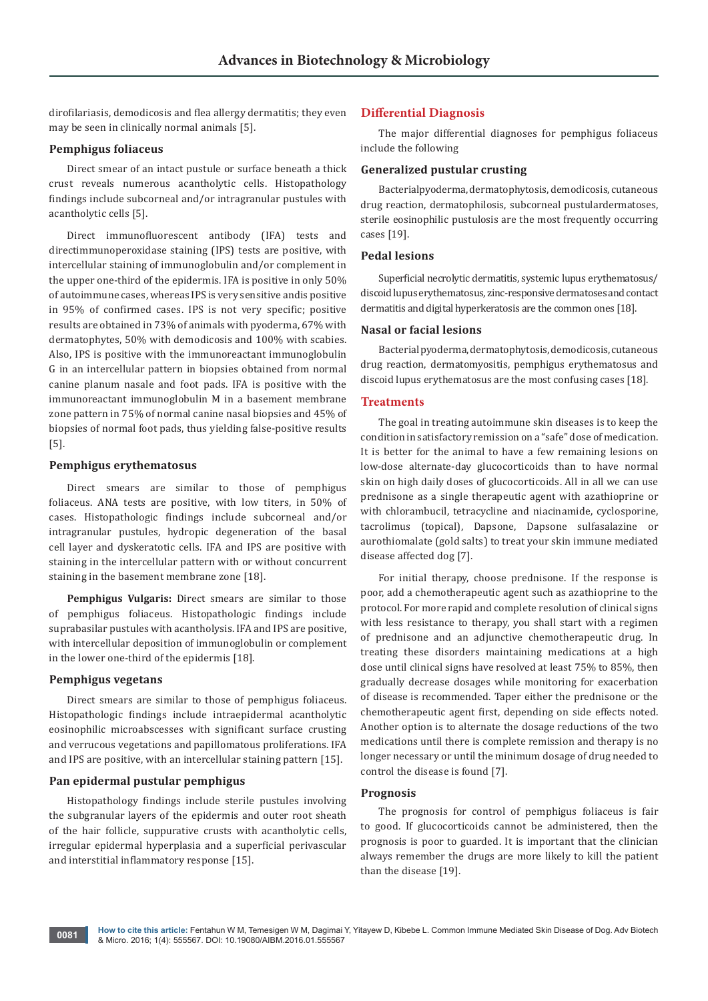dirofilariasis, demodicosis and flea allergy dermatitis; they even may be seen in clinically normal animals [5].

# **Pemphigus foliaceus**

Direct smear of an intact pustule or surface beneath a thick crust reveals numerous acantholytic cells. Histopathology findings include subcorneal and/or intragranular pustules with acantholytic cells [5].

Direct immunofluorescent antibody (IFA) tests and directimmunoperoxidase staining (IPS) tests are positive, with intercellular staining of immunoglobulin and/or complement in the upper one-third of the epidermis. IFA is positive in only 50% of autoimmune cases, whereas IPS is very sensitive andis positive in 95% of confirmed cases. IPS is not very specific; positive results are obtained in 73% of animals with pyoderma, 67% with dermatophytes, 50% with demodicosis and 100% with scabies. Also, IPS is positive with the immunoreactant immunoglobulin G in an intercellular pattern in biopsies obtained from normal canine planum nasale and foot pads. IFA is positive with the immunoreactant immunoglobulin M in a basement membrane zone pattern in 75% of normal canine nasal biopsies and 45% of biopsies of normal foot pads, thus yielding false-positive results [5].

## **Pemphigus erythematosus**

Direct smears are similar to those of pemphigus foliaceus. ANA tests are positive, with low titers, in 50% of cases. Histopathologic findings include subcorneal and/or intragranular pustules, hydropic degeneration of the basal cell layer and dyskeratotic cells. IFA and IPS are positive with staining in the intercellular pattern with or without concurrent staining in the basement membrane zone [18].

**Pemphigus Vulgaris:** Direct smears are similar to those of pemphigus foliaceus. Histopathologic findings include suprabasilar pustules with acantholysis. IFA and IPS are positive, with intercellular deposition of immunoglobulin or complement in the lower one-third of the epidermis [18].

#### **Pemphigus vegetans**

Direct smears are similar to those of pemphigus foliaceus. Histopathologic findings include intraepidermal acantholytic eosinophilic microabscesses with significant surface crusting and verrucous vegetations and papillomatous proliferations. IFA and IPS are positive, with an intercellular staining pattern [15].

## **Pan epidermal pustular pemphigus**

Histopathology findings include sterile pustules involving the subgranular layers of the epidermis and outer root sheath of the hair follicle, suppurative crusts with acantholytic cells, irregular epidermal hyperplasia and a superficial perivascular and interstitial inflammatory response [15].

## **Differential Diagnosis**

The major differential diagnoses for pemphigus foliaceus include the following

## **Generalized pustular crusting**

Bacterialpyoderma, dermatophytosis, demodicosis, cutaneous drug reaction, dermatophilosis, subcorneal pustulardermatoses, sterile eosinophilic pustulosis are the most frequently occurring cases [19].

#### **Pedal lesions**

Superficial necrolytic dermatitis, systemic lupus erythematosus/ discoid lupus erythematosus, zinc-responsive dermatoses and contact dermatitis and digital hyperkeratosis are the common ones [18].

#### **Nasal or facial lesions**

Bacterial pyoderma, dermatophytosis, demodicosis, cutaneous drug reaction, dermatomyositis, pemphigus erythematosus and discoid lupus erythematosus are the most confusing cases [18].

#### **Treatments**

The goal in treating autoimmune skin diseases is to keep the condition in satisfactory remission on a "safe" dose of medication. It is better for the animal to have a few remaining lesions on low-dose alternate-day glucocorticoids than to have normal skin on high daily doses of glucocorticoids. All in all we can use prednisone as a single therapeutic agent with azathioprine or with chlorambucil, tetracycline and niacinamide, cyclosporine, tacrolimus (topical), Dapsone, Dapsone sulfasalazine or aurothiomalate (gold salts) to treat your skin immune mediated disease affected dog [7].

For initial therapy, choose prednisone. If the response is poor, add a chemotherapeutic agent such as azathioprine to the protocol. For more rapid and complete resolution of clinical signs with less resistance to therapy, you shall start with a regimen of prednisone and an adjunctive chemotherapeutic drug. In treating these disorders maintaining medications at a high dose until clinical signs have resolved at least 75% to 85%, then gradually decrease dosages while monitoring for exacerbation of disease is recommended. Taper either the prednisone or the chemotherapeutic agent first, depending on side effects noted. Another option is to alternate the dosage reductions of the two medications until there is complete remission and therapy is no longer necessary or until the minimum dosage of drug needed to control the disease is found [7].

#### **Prognosis**

The prognosis for control of pemphigus foliaceus is fair to good. If glucocorticoids cannot be administered, then the prognosis is poor to guarded. It is important that the clinician always remember the drugs are more likely to kill the patient than the disease [19].